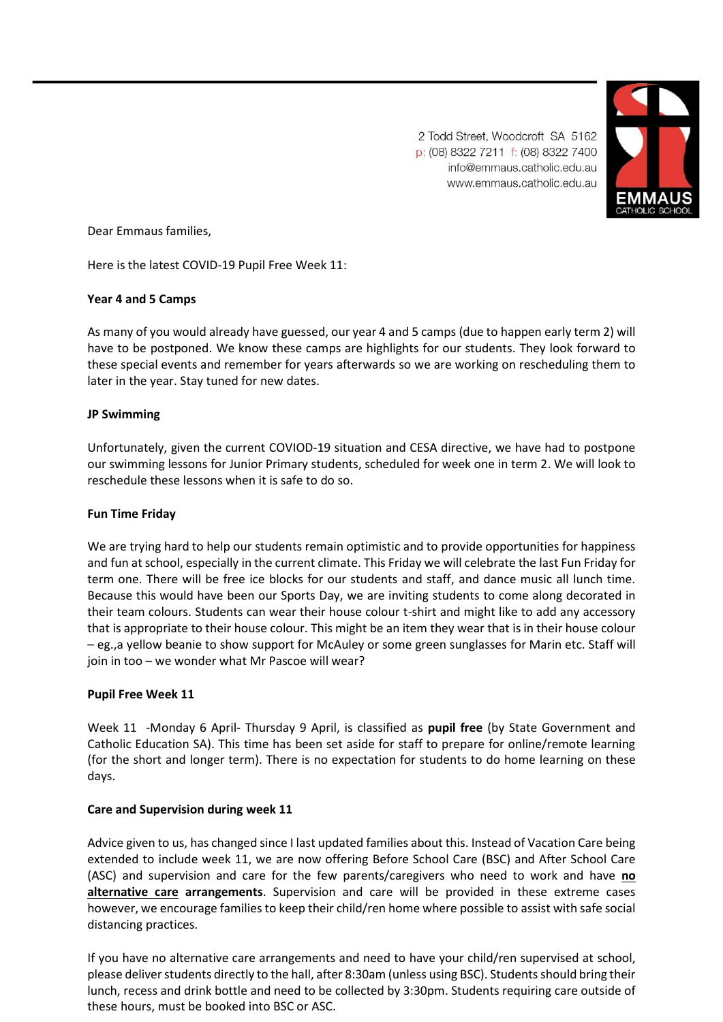

2 Todd Street, Woodcroft SA 5162 p: (08) 8322 7211 f: (08) 8322 7400 info@emmaus.catholic.edu.au www.emmaus.catholic.edu.au

Dear Emmaus families,

Here is the latest COVID-19 Pupil Free Week 11:

# **Year 4 and 5 Camps**

As many of you would already have guessed, our year 4 and 5 camps (due to happen early term 2) will have to be postponed. We know these camps are highlights for our students. They look forward to these special events and remember for years afterwards so we are working on rescheduling them to later in the year. Stay tuned for new dates.

# **JP Swimming**

Unfortunately, given the current COVIOD-19 situation and CESA directive, we have had to postpone our swimming lessons for Junior Primary students, scheduled for week one in term 2. We will look to reschedule these lessons when it is safe to do so.

## **Fun Time Friday**

We are trying hard to help our students remain optimistic and to provide opportunities for happiness and fun at school, especially in the current climate. This Friday we will celebrate the last Fun Friday for term one. There will be free ice blocks for our students and staff, and dance music all lunch time. Because this would have been our Sports Day, we are inviting students to come along decorated in their team colours. Students can wear their house colour t-shirt and might like to add any accessory that is appropriate to their house colour. This might be an item they wear that is in their house colour – eg.,a yellow beanie to show support for McAuley or some green sunglasses for Marin etc. Staff will join in too – we wonder what Mr Pascoe will wear?

## **Pupil Free Week 11**

Week 11 -Monday 6 April- Thursday 9 April, is classified as **pupil free** (by State Government and Catholic Education SA). This time has been set aside for staff to prepare for online/remote learning (for the short and longer term). There is no expectation for students to do home learning on these days.

## **Care and Supervision during week 11**

Advice given to us, has changed since I last updated families about this. Instead of Vacation Care being extended to include week 11, we are now offering Before School Care (BSC) and After School Care (ASC) and supervision and care for the few parents/caregivers who need to work and have **no alternative care arrangements**. Supervision and care will be provided in these extreme cases however, we encourage families to keep their child/ren home where possible to assist with safe social distancing practices.

If you have no alternative care arrangements and need to have your child/ren supervised at school, please deliver students directly to the hall, after 8:30am (unless using BSC). Students should bring their lunch, recess and drink bottle and need to be collected by 3:30pm. Students requiring care outside of these hours, must be booked into BSC or ASC.